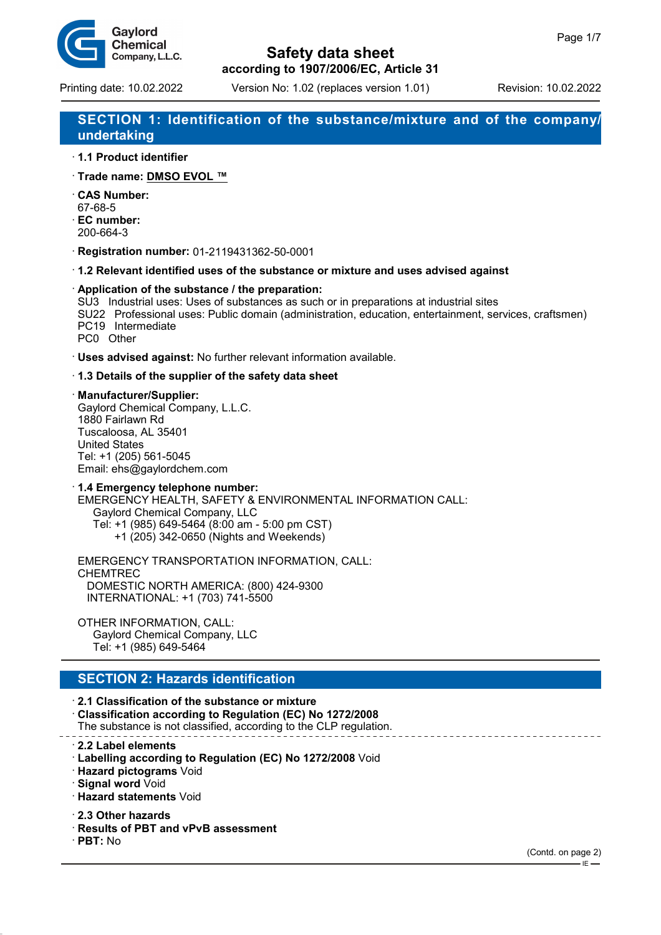

# **Safety data sheet**

**according to 1907/2006/EC, Article 31**

## **SECTION 1: Identification of the substance/mixture and of the company/ undertaking**

- · **1.1 Product identifier**
- · **Trade name: DMSO EVOL ™**
- · **CAS Number:** 67-68-5
- · **EC number:**
- 200-664-3
- · **Registration number:** 01-2119431362-50-0001
- · **1.2 Relevant identified uses of the substance or mixture and uses advised against**
- · **Application of the substance / the preparation:**
- SU3 Industrial uses: Uses of substances as such or in preparations at industrial sites
- SU22 Professional uses: Public domain (administration, education, entertainment, services, craftsmen) PC19 Intermediate PC0 Other
- · **Uses advised against:** No further relevant information available.

### · **1.3 Details of the supplier of the safety data sheet**

- · **Manufacturer/Supplier:** Gaylord Chemical Company, L.L.C. 1880 Fairlawn Rd Tuscaloosa, AL 35401 United States Tel: +1 (205) 561-5045 Email: ehs@gaylordchem.com
- · **1.4 Emergency telephone number:** EMERGENCY HEALTH, SAFETY & ENVIRONMENTAL INFORMATION CALL: Gaylord Chemical Company, LLC Tel: +1 (985) 649-5464 (8:00 am - 5:00 pm CST) +1 (205) 342-0650 (Nights and Weekends)

EMERGENCY TRANSPORTATION INFORMATION, CALL: CHEMTREC DOMESTIC NORTH AMERICA: (800) 424-9300 INTERNATIONAL: +1 (703) 741-5500

OTHER INFORMATION, CALL: Gaylord Chemical Company, LLC Tel: +1 (985) 649-5464

## **SECTION 2: Hazards identification**

· **2.1 Classification of the substance or mixture** · **Classification according to Regulation (EC) No 1272/2008** The substance is not classified, according to the CLP regulation.

- · **2.2 Label elements**
- · **Labelling according to Regulation (EC) No 1272/2008** Void
- · **Hazard pictograms** Void
- · **Signal word** Void
- · **Hazard statements** Void
- · **2.3 Other hazards**
- · **Results of PBT and vPvB assessment**
- · **PBT:** No

IE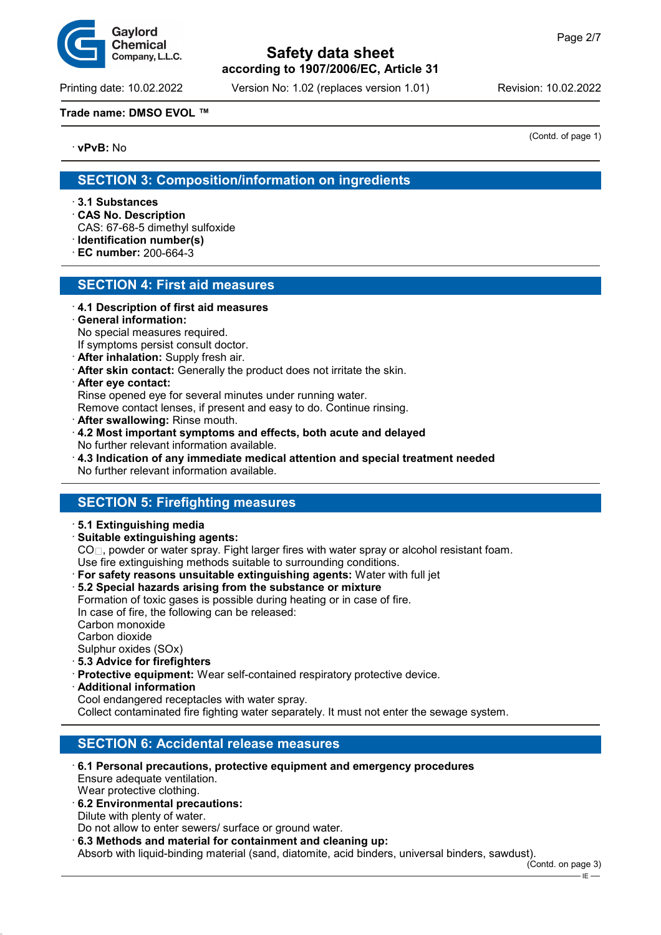

Printing date: 10.02.2022 Version No: 1.02 (replaces version 1.01) Revision: 10.02.2022

### **Trade name: DMSO EVOL ™**

· **vPvB:** No

(Contd. of page 1)

## **SECTION 3: Composition/information on ingredients**

- · **3.1 Substances**
- · **CAS No. Description**
- CAS: 67-68-5 dimethyl sulfoxide
- · **Identification number(s)**
- · **EC number:** 200-664-3

## **SECTION 4: First aid measures**

- · **4.1 Description of first aid measures**
- · **General information:** No special measures required.
- If symptoms persist consult doctor.
- · **After inhalation:** Supply fresh air.
- · **After skin contact:** Generally the product does not irritate the skin.
- · **After eye contact:**

Rinse opened eye for several minutes under running water.

Remove contact lenses, if present and easy to do. Continue rinsing.

- · **After swallowing:** Rinse mouth.
- · **4.2 Most important symptoms and effects, both acute and delayed** No further relevant information available.
- · **4.3 Indication of any immediate medical attention and special treatment needed** No further relevant information available.

## **SECTION 5: Firefighting measures**

- · **5.1 Extinguishing media**
- · **Suitable extinguishing agents:**

CO<sub>□</sub>, powder or water spray. Fight larger fires with water spray or alcohol resistant foam.

- Use fire extinguishing methods suitable to surrounding conditions.
- · **For safety reasons unsuitable extinguishing agents:** Water with full jet
- · **5.2 Special hazards arising from the substance or mixture** Formation of toxic gases is possible during heating or in case of fire. In case of fire, the following can be released: Carbon monoxide Carbon dioxide Sulphur oxides (SOx)
- · **5.3 Advice for firefighters**
- · **Protective equipment:** Wear self-contained respiratory protective device.
- · **Additional information**
- Cool endangered receptacles with water spray.

Collect contaminated fire fighting water separately. It must not enter the sewage system.

## **SECTION 6: Accidental release measures**

- · **6.1 Personal precautions, protective equipment and emergency procedures** Ensure adequate ventilation. Wear protective clothing.
- · **6.2 Environmental precautions:** Dilute with plenty of water.

Do not allow to enter sewers/ surface or ground water.

· **6.3 Methods and material for containment and cleaning up:** Absorb with liquid-binding material (sand, diatomite, acid binders, universal binders, sawdust).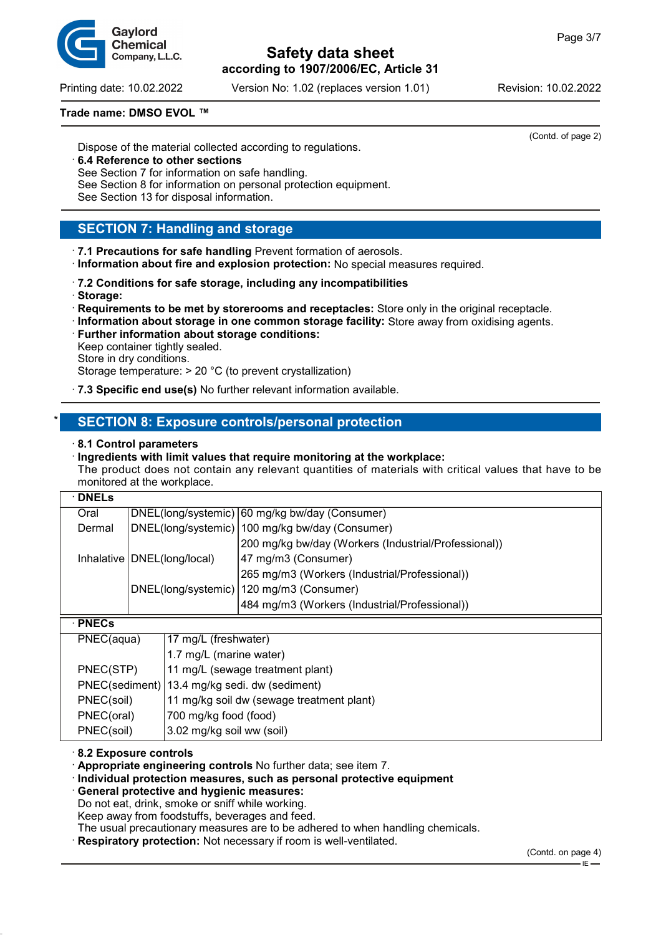Printing date: 10.02.2022 Version No: 1.02 (replaces version 1.01) Revision: 10.02.2022

#### **Trade name: DMSO EVOL ™**

Dispose of the material collected according to regulations.

- · **6.4 Reference to other sections**
- See Section 7 for information on safe handling.

See Section 8 for information on personal protection equipment.

See Section 13 for disposal information.

## **SECTION 7: Handling and storage**

· **7.1 Precautions for safe handling** Prevent formation of aerosols.

- · **Information about fire and explosion protection:** No special measures required.
- · **7.2 Conditions for safe storage, including any incompatibilities** · **Storage:**
- · **Requirements to be met by storerooms and receptacles:** Store only in the original receptacle.
- · **Information about storage in one common storage facility:** Store away from oxidising agents.
- · **Further information about storage conditions:** Keep container tightly sealed. Store in dry conditions.

Storage temperature: > 20 °C (to prevent crystallization)

· **7.3 Specific end use(s)** No further relevant information available.

## **SECTION 8: Exposure controls/personal protection**

· **8.1 Control parameters**

#### · **Ingredients with limit values that require monitoring at the workplace:**

The product does not contain any relevant quantities of materials with critical values that have to be monitored at the workplace.

| $\cdot$ DNELs  |                               |                                           |                                                      |  |
|----------------|-------------------------------|-------------------------------------------|------------------------------------------------------|--|
| Oral           |                               |                                           | DNEL(long/systemic) 60 mg/kg bw/day (Consumer)       |  |
| Dermal         |                               |                                           | DNEL(long/systemic)   100 mg/kg bw/day (Consumer)    |  |
|                |                               |                                           | 200 mg/kg bw/day (Workers (Industrial/Professional)) |  |
|                | Inhalative   DNEL(long/local) |                                           | 47 mg/m3 (Consumer)                                  |  |
|                |                               |                                           | 265 mg/m3 (Workers (Industrial/Professional))        |  |
|                |                               |                                           | DNEL(long/systemic)   120 mg/m3 (Consumer)           |  |
|                |                               |                                           | 484 mg/m3 (Workers (Industrial/Professional))        |  |
| $\cdot$ PNECs  |                               |                                           |                                                      |  |
| PNEC(aqua)     |                               | 17 mg/L (freshwater)                      |                                                      |  |
|                |                               | 1.7 mg/L (marine water)                   |                                                      |  |
| PNEC(STP)      |                               | 11 mg/L (sewage treatment plant)          |                                                      |  |
| PNEC(sediment) |                               | 13.4 mg/kg sedi. dw (sediment)            |                                                      |  |
| PNEC(soil)     |                               | 11 mg/kg soil dw (sewage treatment plant) |                                                      |  |
| PNEC(oral)     |                               | 700 mg/kg food (food)                     |                                                      |  |
| PNEC(soil)     |                               | 3.02 mg/kg soil ww (soil)                 |                                                      |  |

· **8.2 Exposure controls**

· **Appropriate engineering controls** No further data; see item 7.

#### · **Individual protection measures, such as personal protective equipment**

· **General protective and hygienic measures:**

Do not eat, drink, smoke or sniff while working.

Keep away from foodstuffs, beverages and feed.

The usual precautionary measures are to be adhered to when handling chemicals.

· **Respiratory protection:** Not necessary if room is well-ventilated.



(Contd. of page 2)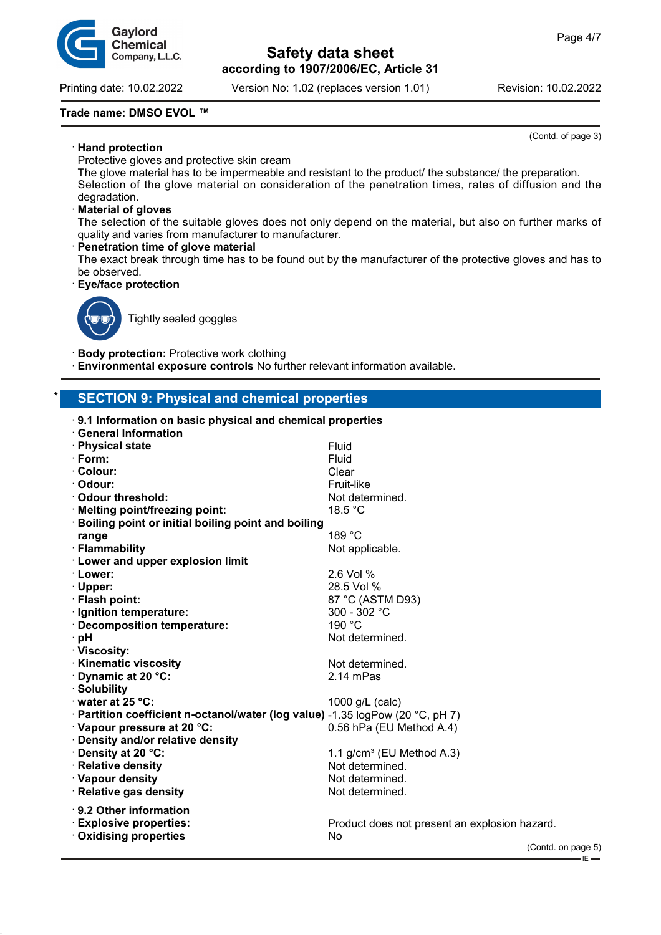

Printing date: 10.02.2022 Version No: 1.02 (replaces version 1.01) Revision: 10.02.2022

(Contd. of page 3)

#### **Trade name: DMSO EVOL ™**

· **Hand protection**

Protective gloves and protective skin cream

The glove material has to be impermeable and resistant to the product/ the substance/ the preparation. Selection of the glove material on consideration of the penetration times, rates of diffusion and the degradation.

#### · **Material of gloves**

The selection of the suitable gloves does not only depend on the material, but also on further marks of quality and varies from manufacturer to manufacturer.

#### · **Penetration time of glove material**

The exact break through time has to be found out by the manufacturer of the protective gloves and has to be observed.

#### · **Eye/face protection**



Tightly sealed goggles

· **Body protection:** Protective work clothing

· **Environmental exposure controls** No further relevant information available.

## **SECTION 9: Physical and chemical properties**

| 9.1 Information on basic physical and chemical properties                      |                                               |
|--------------------------------------------------------------------------------|-----------------------------------------------|
| <b>General Information</b>                                                     |                                               |
| · Physical state                                                               | Fluid                                         |
| $\cdot$ Form:                                                                  | Fluid                                         |
| · Colour:                                                                      | Clear                                         |
| · Odour:                                                                       | Fruit-like                                    |
| Odour threshold:                                                               | Not determined.                               |
| · Melting point/freezing point:                                                | 18.5 °C                                       |
| Boiling point or initial boiling point and boiling                             |                                               |
| range                                                                          | 189 °C                                        |
| · Flammability                                                                 | Not applicable.                               |
| · Lower and upper explosion limit                                              |                                               |
| · Lower:                                                                       | 2.6 Vol %                                     |
| · Upper:                                                                       | 28.5 Vol %                                    |
| · Flash point:                                                                 | 87 °C (ASTM D93)                              |
| · Ignition temperature:                                                        | 300 - 302 °C                                  |
| · Decomposition temperature:                                                   | 190 °C                                        |
| ∙ pH                                                                           | Not determined.                               |
| · Viscosity:                                                                   |                                               |
| <b>Kinematic viscosity</b>                                                     | Not determined.                               |
| Dynamic at 20 °C:                                                              | 2.14 mPas                                     |
| · Solubility                                                                   |                                               |
| water at 25 °C:                                                                | 1000 g/L (calc)                               |
| · Partition coefficient n-octanol/water (log value) -1.35 logPow (20 °C, pH 7) |                                               |
| · Vapour pressure at 20 °C:                                                    | 0.56 hPa (EU Method A.4)                      |
| · Density and/or relative density                                              |                                               |
| Density at 20 °C:                                                              | 1.1 $g/cm^3$ (EU Method A.3)                  |
| · Relative density                                                             | Not determined.                               |
| · Vapour density                                                               | Not determined.                               |
| · Relative gas density                                                         | Not determined.                               |
| $\cdot$ 9.2 Other information                                                  |                                               |
| <b>Explosive properties:</b>                                                   | Product does not present an explosion hazard. |
| <b>Oxidising properties</b>                                                    | No                                            |
|                                                                                | (Contd. on page 5)                            |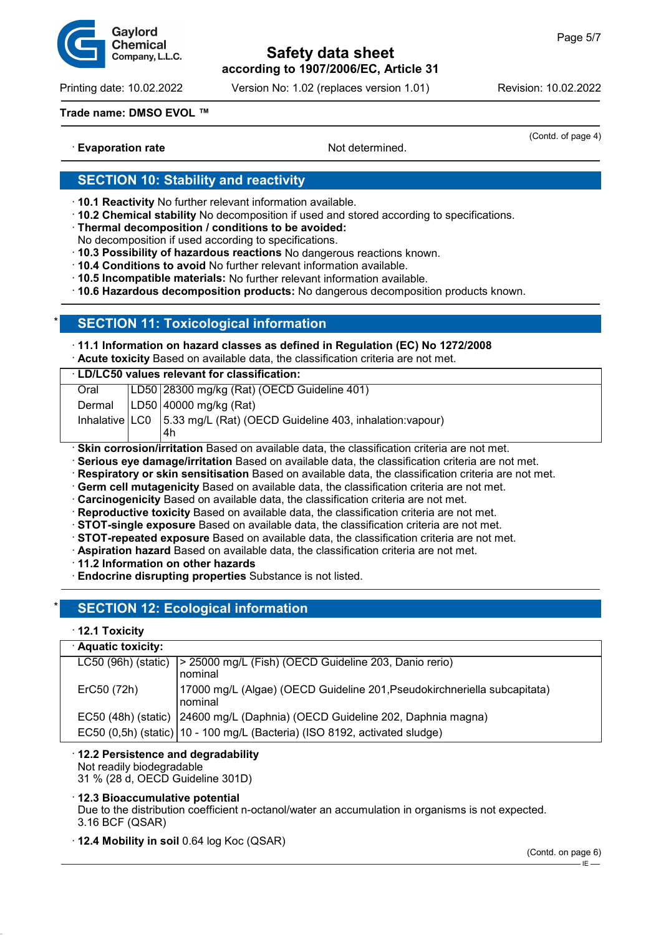

Printing date: 10.02.2022 Version No: 1.02 (replaces version 1.01) Revision: 10.02.2022

#### **Trade name: DMSO EVOL ™**

· **Evaporation rate Not determined. Not determined.** 

(Contd. of page 4)

## **SECTION 10: Stability and reactivity**

- · **10.1 Reactivity** No further relevant information available.
- · **10.2 Chemical stability** No decomposition if used and stored according to specifications.
- · **Thermal decomposition / conditions to be avoided:**
- No decomposition if used according to specifications.
- · **10.3 Possibility of hazardous reactions** No dangerous reactions known.
- · **10.4 Conditions to avoid** No further relevant information available.
- · **10.5 Incompatible materials:** No further relevant information available.

· **10.6 Hazardous decomposition products:** No dangerous decomposition products known.

## **SECTION 11: Toxicological information**

#### · **11.1 Information on hazard classes as defined in Regulation (EC) No 1272/2008**

· **Acute toxicity** Based on available data, the classification criteria are not met.

| <b>LD/LC50 values relevant for classification:</b>                                                                                                                                                                                                                                                                                                                                                                                                                                             |  |                                                                                   |  |  |  |
|------------------------------------------------------------------------------------------------------------------------------------------------------------------------------------------------------------------------------------------------------------------------------------------------------------------------------------------------------------------------------------------------------------------------------------------------------------------------------------------------|--|-----------------------------------------------------------------------------------|--|--|--|
| Oral                                                                                                                                                                                                                                                                                                                                                                                                                                                                                           |  | LD50 28300 mg/kg (Rat) (OECD Guideline 401)                                       |  |  |  |
| Dermal                                                                                                                                                                                                                                                                                                                                                                                                                                                                                         |  | LD50 40000 mg/kg (Rat)                                                            |  |  |  |
|                                                                                                                                                                                                                                                                                                                                                                                                                                                                                                |  | Inhalative   LC0   5.33 mg/L (Rat) (OECD Guideline 403, inhalation: vapour)<br>4h |  |  |  |
| · Skin corrosion/irritation Based on available data, the classification criteria are not met.<br>· Serious eye damage/irritation Based on available data, the classification criteria are not met.<br>· Respiratory or skin sensitisation Based on available data, the classification criteria are not met.<br>. Germ cell mutagenicity Based on available data, the classification criteria are not met.<br>Carcinogenicity Based on available data, the classification criteria are not met. |  |                                                                                   |  |  |  |

- · **Reproductive toxicity** Based on available data, the classification criteria are not met.
- · **STOT-single exposure** Based on available data, the classification criteria are not met.
- · **STOT-repeated exposure** Based on available data, the classification criteria are not met.
- · **Aspiration hazard** Based on available data, the classification criteria are not met.
- · **11.2 Information on other hazards**
- · **Endocrine disrupting properties** Substance is not listed.

## **SECTION 12: Ecological information**

## · **12.1 Toxicity**

## · **Aquatic toxicity:**

| Aquatic toxicity:     |                                                                                     |
|-----------------------|-------------------------------------------------------------------------------------|
| $LC50$ (96h) (static) | > 25000 mg/L (Fish) (OECD Guideline 203, Danio rerio)<br>nominal                    |
| ErC50 (72h)           | 17000 mg/L (Algae) (OECD Guideline 201, Pseudokirchneriella subcapitata)<br>nominal |
|                       | EC50 (48h) (static)   24600 mg/L (Daphnia) (OECD Guideline 202, Daphnia magna)      |
|                       | EC50 (0,5h) (static)   10 - 100 mg/L (Bacteria) (ISO 8192, activated sludge)        |
|                       |                                                                                     |

#### · **12.2 Persistence and degradability** Not readily biodegradable

31 % (28 d, OECD Guideline 301D)

## · **12.3 Bioaccumulative potential**

Due to the distribution coefficient n-octanol/water an accumulation in organisms is not expected. 3.16 BCF (QSAR)

· **12.4 Mobility in soil** 0.64 log Koc (QSAR)

(Contd. on page 6)

 $IE -$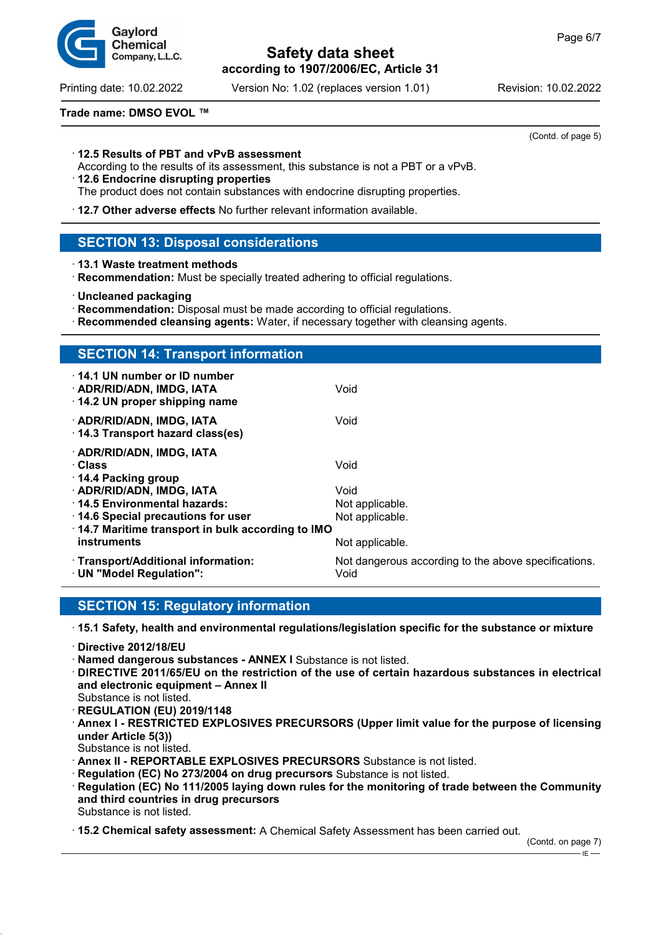Printing date: 10.02.2022 Version No: 1.02 (replaces version 1.01) Revision: 10.02.2022

#### **Trade name: DMSO EVOL ™**

#### · **12.5 Results of PBT and vPvB assessment**

According to the results of its assessment, this substance is not a PBT or a vPvB.

- · **12.6 Endocrine disrupting properties**
- The product does not contain substances with endocrine disrupting properties.
- · **12.7 Other adverse effects** No further relevant information available.

## **SECTION 13: Disposal considerations**

- · **13.1 Waste treatment methods**
- · **Recommendation:** Must be specially treated adhering to official regulations.
- · **Uncleaned packaging**
- · **Recommendation:** Disposal must be made according to official regulations.
- · **Recommended cleansing agents:** Water, if necessary together with cleansing agents.

| <b>SECTION 14: Transport information</b>                                                                            |                                                              |
|---------------------------------------------------------------------------------------------------------------------|--------------------------------------------------------------|
| ⋅14.1 UN number or ID number<br>· ADR/RID/ADN, IMDG, IATA<br>14.2 UN proper shipping name                           | Void                                                         |
| · ADR/RID/ADN, IMDG, IATA<br>14.3 Transport hazard class(es)                                                        | Void                                                         |
| · ADR/RID/ADN, IMDG, IATA<br>· Class<br>14.4 Packing group                                                          | Void                                                         |
| · ADR/RID/ADN, IMDG, IATA<br>14.5 Environmental hazards:                                                            | Void<br>Not applicable.                                      |
| $\cdot$ 14.6 Special precautions for user<br>14.7 Maritime transport in bulk according to IMO<br><b>instruments</b> | Not applicable.<br>Not applicable.                           |
| · Transport/Additional information:<br>· UN "Model Regulation":                                                     | Not dangerous according to the above specifications.<br>Void |

## **SECTION 15: Regulatory information**

· **15.1 Safety, health and environmental regulations/legislation specific for the substance or mixture**

- · **Directive 2012/18/EU**
- · **Named dangerous substances ANNEX I** Substance is not listed.
- · **DIRECTIVE 2011/65/EU on the restriction of the use of certain hazardous substances in electrical and electronic equipment – Annex II**
- Substance is not listed.
- · **REGULATION (EU) 2019/1148** · **Annex I - RESTRICTED EXPLOSIVES PRECURSORS (Upper limit value for the purpose of licensing under Article 5(3))**
- Substance is not listed.
- · **Annex II REPORTABLE EXPLOSIVES PRECURSORS** Substance is not listed.
- · **Regulation (EC) No 273/2004 on drug precursors** Substance is not listed.
- · **Regulation (EC) No 111/2005 laying down rules for the monitoring of trade between the Community and third countries in drug precursors** Substance is not listed.

· **15.2 Chemical safety assessment:** A Chemical Safety Assessment has been carried out.

 $-E$ 



(Contd. of page 5)